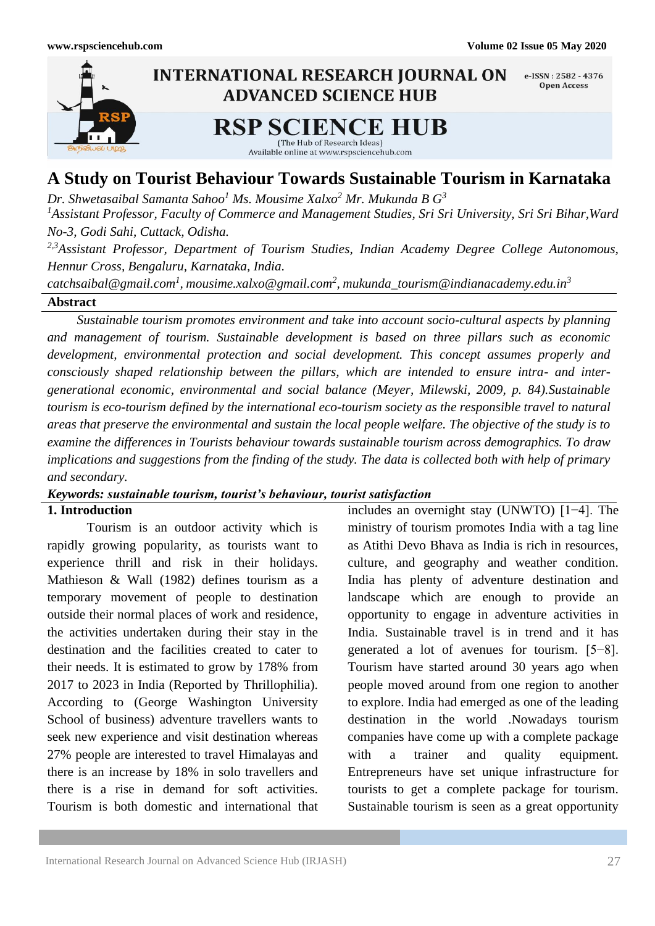

# **A Study on Tourist Behaviour Towards Sustainable Tourism in Karnataka**

*Dr. Shwetasaibal Samanta Sahoo<sup>1</sup> Ms. Mousime Xalxo<sup>2</sup> Mr. Mukunda B G<sup>3</sup>*

*<sup>1</sup>Assistant Professor, Faculty of Commerce and Management Studies, Sri Sri University, Sri Sri Bihar,Ward No-3, Godi Sahi, Cuttack, Odisha.*

*2,3Assistant Professor, Department of Tourism Studies, Indian Academy Degree College Autonomous, Hennur Cross, Bengaluru, Karnataka, India.*

*catchsaibal@gmail.com<sup>1</sup> , mousime.xalxo@gmail.com<sup>2</sup> , mukunda\_tourism@indianacademy.edu.in<sup>3</sup>*

## **Abstract**

 *Sustainable tourism promotes environment and take into account socio-cultural aspects by planning and management of tourism. Sustainable development is based on three pillars such as economic development, environmental protection and social development. This concept assumes properly and consciously shaped relationship between the pillars, which are intended to ensure intra- and intergenerational economic, environmental and social balance (Meyer, Milewski, 2009, p. 84).Sustainable tourism is eco-tourism defined by the international eco-tourism society as the responsible travel to natural areas that preserve the environmental and sustain the local people welfare. The objective of the study is to examine the differences in Tourists behaviour towards sustainable tourism across demographics. To draw implications and suggestions from the finding of the study. The data is collected both with help of primary and secondary.*

## *Keywords: sustainable tourism, tourist's behaviour, tourist satisfaction*

## **1. Introduction**

Tourism is an outdoor activity which is rapidly growing popularity, as tourists want to experience thrill and risk in their holidays. Mathieson & Wall (1982) defines tourism as a temporary movement of people to destination outside their normal places of work and residence, the activities undertaken during their stay in the destination and the facilities created to cater to their needs. It is estimated to grow by 178% from 2017 to 2023 in India (Reported by Thrillophilia). According to (George Washington University School of business) adventure travellers wants to seek new experience and visit destination whereas 27% people are interested to travel Himalayas and there is an increase by 18% in solo travellers and there is a rise in demand for soft activities. Tourism is both domestic and international that includes an overnight stay (UNWTO) [1−4]. The ministry of tourism promotes India with a tag line as Atithi Devo Bhava as India is rich in resources, culture, and geography and weather condition. India has plenty of adventure destination and landscape which are enough to provide an opportunity to engage in adventure activities in India. Sustainable travel is in trend and it has generated a lot of avenues for tourism. [5−8]. Tourism have started around 30 years ago when people moved around from one region to another to explore. India had emerged as one of the leading destination in the world .Nowadays tourism companies have come up with a complete package with a trainer and quality equipment. Entrepreneurs have set unique infrastructure for tourists to get a complete package for tourism. Sustainable tourism is seen as a great opportunity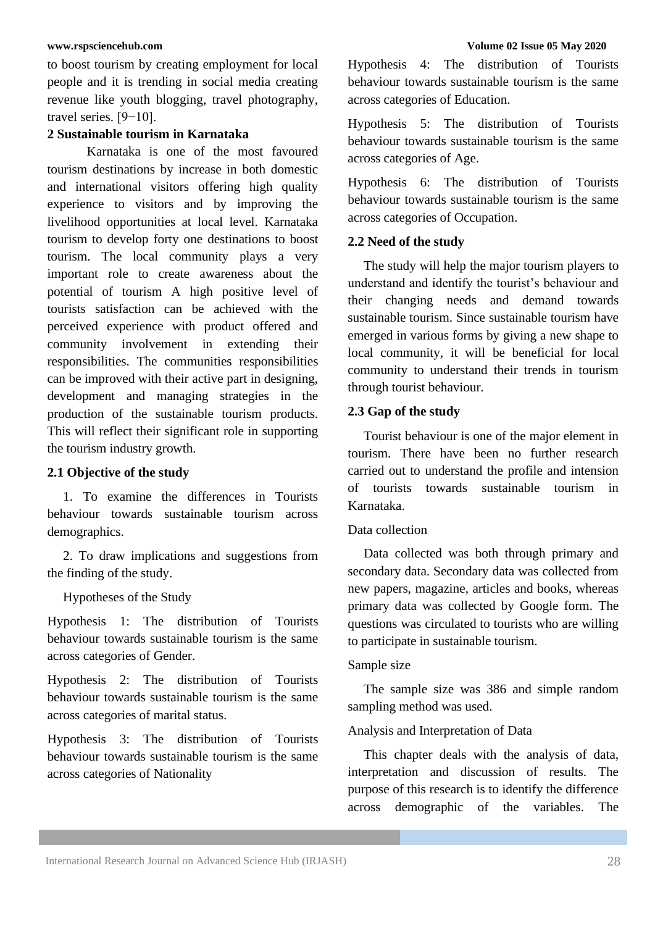to boost tourism by creating employment for local people and it is trending in social media creating revenue like youth blogging, travel photography, travel series. [9−10].

## **2 Sustainable tourism in Karnataka**

Karnataka is one of the most favoured tourism destinations by increase in both domestic and international visitors offering high quality experience to visitors and by improving the livelihood opportunities at local level. Karnataka tourism to develop forty one destinations to boost tourism. The local community plays a very important role to create awareness about the potential of tourism A high positive level of tourists satisfaction can be achieved with the perceived experience with product offered and community involvement in extending their responsibilities. The communities responsibilities can be improved with their active part in designing, development and managing strategies in the production of the sustainable tourism products. This will reflect their significant role in supporting the tourism industry growth.

### **2.1 Objective of the study**

1. To examine the differences in Tourists behaviour towards sustainable tourism across demographics.

2. To draw implications and suggestions from the finding of the study.

Hypotheses of the Study

Hypothesis 1: The distribution of Tourists behaviour towards sustainable tourism is the same across categories of Gender.

Hypothesis 2: The distribution of Tourists behaviour towards sustainable tourism is the same across categories of marital status.

Hypothesis 3: The distribution of Tourists behaviour towards sustainable tourism is the same across categories of Nationality

Hypothesis 4: The distribution of Tourists behaviour towards sustainable tourism is the same across categories of Education.

Hypothesis 5: The distribution of Tourists behaviour towards sustainable tourism is the same across categories of Age.

Hypothesis 6: The distribution of Tourists behaviour towards sustainable tourism is the same across categories of Occupation.

## **2.2 Need of the study**

The study will help the major tourism players to understand and identify the tourist's behaviour and their changing needs and demand towards sustainable tourism. Since sustainable tourism have emerged in various forms by giving a new shape to local community, it will be beneficial for local community to understand their trends in tourism through tourist behaviour.

## **2.3 Gap of the study**

Tourist behaviour is one of the major element in tourism. There have been no further research carried out to understand the profile and intension of tourists towards sustainable tourism in Karnataka.

## Data collection

Data collected was both through primary and secondary data. Secondary data was collected from new papers, magazine, articles and books, whereas primary data was collected by Google form. The questions was circulated to tourists who are willing to participate in sustainable tourism.

### Sample size

The sample size was 386 and simple random sampling method was used.

## Analysis and Interpretation of Data

This chapter deals with the analysis of data, interpretation and discussion of results. The purpose of this research is to identify the difference across demographic of the variables. The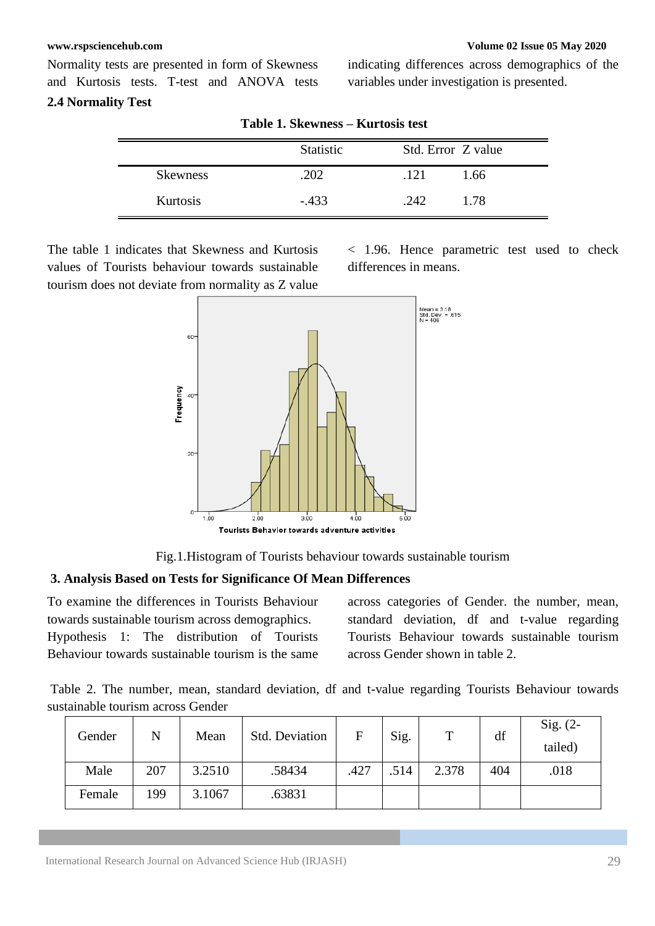### **[www.rspsciencehub.com](http://www.rspsciencehub.com/) Volume 02 Issue 05 May 2020**

Normality tests are presented in form of Skewness and Kurtosis tests. T-test and ANOVA tests **2.4 Normality Test**

indicating differences across demographics of the variables under investigation is presented.

|                 | Statistic | Std. Error Z value |  |
|-----------------|-----------|--------------------|--|
| <b>Skewness</b> | 202       | .121<br>1.66       |  |
| Kurtosis        | $-433$    | 1.78<br>.242       |  |

**Table 1. Skewness – Kurtosis test**

The table 1 indicates that Skewness and Kurtosis values of Tourists behaviour towards sustainable tourism does not deviate from normality as Z value < 1.96. Hence parametric test used to check differences in means.



Fig.1.Histogram of Tourists behaviour towards sustainable tourism

## **3. Analysis Based on Tests for Significance Of Mean Differences**

To examine the differences in Tourists Behaviour towards sustainable tourism across demographics. Hypothesis 1: The distribution of Tourists Behaviour towards sustainable tourism is the same

across categories of Gender. the number, mean, standard deviation, df and t-value regarding Tourists Behaviour towards sustainable tourism across Gender shown in table 2.

Table 2. The number, mean, standard deviation, df and t-value regarding Tourists Behaviour towards sustainable tourism across Gender

| Gender | N   | Mean   | Std. Deviation | F    | Sig. | $\mathbf{T}$ | df  | $Sig. (2-$<br>tailed) |
|--------|-----|--------|----------------|------|------|--------------|-----|-----------------------|
| Male   | 207 | 3.2510 | .58434         | .427 | .514 | 2.378        | 404 | .018                  |
| Female | 199 | 3.1067 | .63831         |      |      |              |     |                       |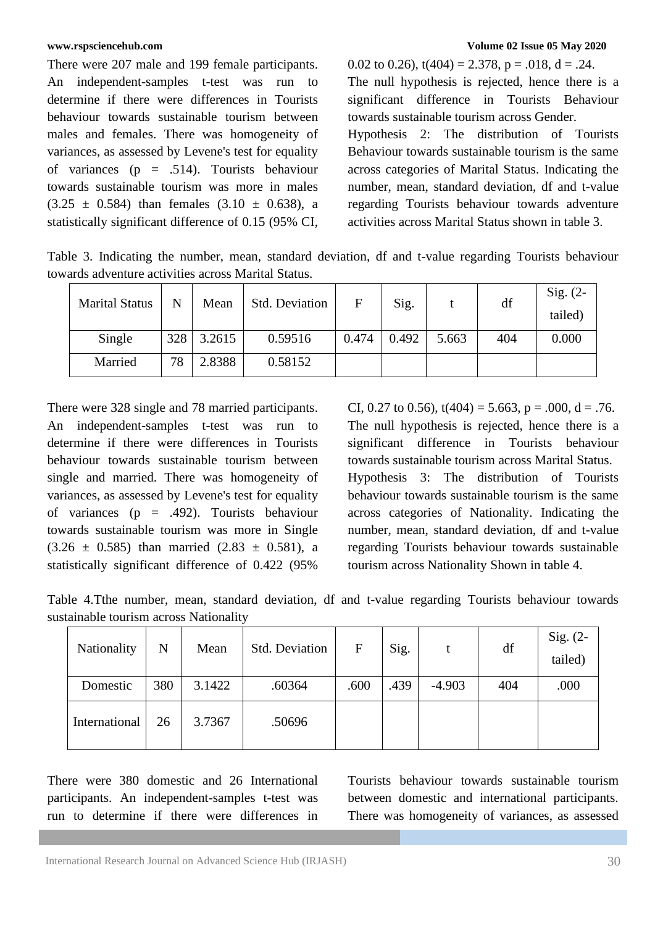There were 207 male and 199 female participants. An independent-samples t-test was run to determine if there were differences in Tourists behaviour towards sustainable tourism between males and females. There was homogeneity of variances, as assessed by Levene's test for equality of variances ( $p = .514$ ). Tourists behaviour towards sustainable tourism was more in males  $(3.25 \pm 0.584)$  than females  $(3.10 \pm 0.638)$ , a statistically significant difference of 0.15 (95% CI,

0.02 to 0.26),  $t(404) = 2.378$ ,  $p = .018$ ,  $d = .24$ . The null hypothesis is rejected, hence there is a significant difference in Tourists Behaviour towards sustainable tourism across Gender. Hypothesis 2: The distribution of Tourists Behaviour towards sustainable tourism is the same across categories of Marital Status. Indicating the number, mean, standard deviation, df and t-value regarding Tourists behaviour towards adventure activities across Marital Status shown in table 3.

Table 3. Indicating the number, mean, standard deviation, df and t-value regarding Tourists behaviour towards adventure activities across Marital Status.

| <b>Marital Status</b> | Ñ   | Mean   | Std. Deviation | F     | Sig.  |       | df  | Sig. $(2-$<br>tailed) |
|-----------------------|-----|--------|----------------|-------|-------|-------|-----|-----------------------|
| Single                | 328 | 3.2615 | 0.59516        | 0.474 | 0.492 | 5.663 | 404 | 0.000                 |
| Married               | 78  | 2.8388 | 0.58152        |       |       |       |     |                       |

There were 328 single and 78 married participants. An independent-samples t-test was run to determine if there were differences in Tourists behaviour towards sustainable tourism between single and married. There was homogeneity of variances, as assessed by Levene's test for equality of variances (p = .492). Tourists behaviour towards sustainable tourism was more in Single  $(3.26 \pm 0.585)$  than married  $(2.83 \pm 0.581)$ , a statistically significant difference of 0.422 (95%

CI, 0.27 to 0.56),  $t(404) = 5.663$ ,  $p = .000$ ,  $d = .76$ . The null hypothesis is rejected, hence there is a significant difference in Tourists behaviour towards sustainable tourism across Marital Status. Hypothesis 3: The distribution of Tourists behaviour towards sustainable tourism is the same across categories of Nationality. Indicating the number, mean, standard deviation, df and t-value regarding Tourists behaviour towards sustainable tourism across Nationality Shown in table 4.

Table 4.Tthe number, mean, standard deviation, df and t-value regarding Tourists behaviour towards sustainable tourism across Nationality

| Nationality   | N   | Mean   | Std. Deviation | $\mathbf F$ | Sig. |          | df  | Sig. $(2-$<br>tailed) |
|---------------|-----|--------|----------------|-------------|------|----------|-----|-----------------------|
| Domestic      | 380 | 3.1422 | .60364         | .600        | .439 | $-4.903$ | 404 | .000                  |
| International | 26  | 3.7367 | .50696         |             |      |          |     |                       |

There were 380 domestic and 26 International participants. An independent-samples t-test was run to determine if there were differences in Tourists behaviour towards sustainable tourism between domestic and international participants. There was homogeneity of variances, as assessed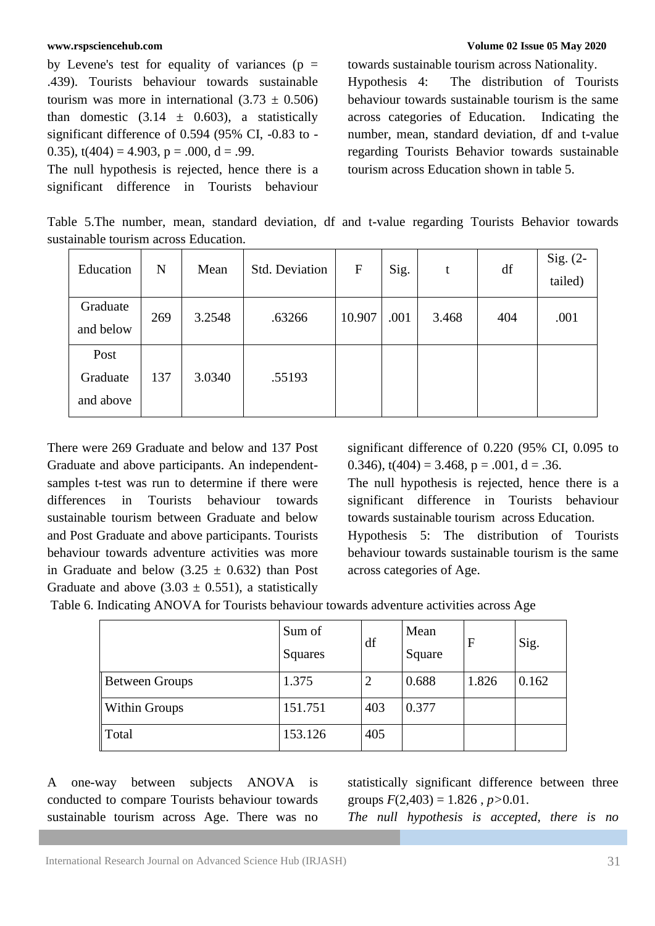by Levene's test for equality of variances ( $p =$ .439). Tourists behaviour towards sustainable tourism was more in international  $(3.73 \pm 0.506)$ than domestic  $(3.14 \pm 0.603)$ , a statistically significant difference of 0.594 (95% CI, -0.83 to - 0.35),  $t(404) = 4.903$ ,  $p = .000$ ,  $d = .99$ .

The null hypothesis is rejected, hence there is a significant difference in Tourists behaviour

### **[www.rspsciencehub.com](http://www.rspsciencehub.com/) Volume 02 Issue 05 May 2020**

towards sustainable tourism across Nationality. Hypothesis 4: The distribution of Tourists behaviour towards sustainable tourism is the same across categories of Education. Indicating the number, mean, standard deviation, df and t-value regarding Tourists Behavior towards sustainable tourism across Education shown in table 5.

Table 5.The number, mean, standard deviation, df and t-value regarding Tourists Behavior towards sustainable tourism across Education.

| Education                     | N   | Mean   | <b>Std. Deviation</b> | $\mathbf{F}$ | Sig. | t     | df  | Sig. $(2-$<br>tailed) |
|-------------------------------|-----|--------|-----------------------|--------------|------|-------|-----|-----------------------|
| Graduate<br>and below         | 269 | 3.2548 | .63266                | 10.907       | .001 | 3.468 | 404 | .001                  |
| Post<br>Graduate<br>and above | 137 | 3.0340 | .55193                |              |      |       |     |                       |

There were 269 Graduate and below and 137 Post Graduate and above participants. An independentsamples t-test was run to determine if there were differences in Tourists behaviour towards sustainable tourism between Graduate and below and Post Graduate and above participants. Tourists behaviour towards adventure activities was more in Graduate and below  $(3.25 \pm 0.632)$  than Post Graduate and above  $(3.03 \pm 0.551)$ , a statistically

significant difference of 0.220 (95% CI, 0.095 to 0.346),  $t(404) = 3.468$ ,  $p = .001$ ,  $d = .36$ .

The null hypothesis is rejected, hence there is a significant difference in Tourists behaviour towards sustainable tourism across Education. Hypothesis 5: The distribution of Tourists behaviour towards sustainable tourism is the same across categories of Age.

Table 6. Indicating ANOVA for Tourists behaviour towards adventure activities across Age

|                       | Sum of<br>Squares | df  | Mean<br>Square | $\mathbf{F}$ | Sig.  |
|-----------------------|-------------------|-----|----------------|--------------|-------|
| <b>Between Groups</b> | 1.375             |     | 0.688          | 1.826        | 0.162 |
| <b>Within Groups</b>  | 151.751           | 403 | 0.377          |              |       |
| Total                 | 153.126           | 405 |                |              |       |

A one-way between subjects ANOVA is conducted to compare Tourists behaviour towards sustainable tourism across Age. There was no statistically significant difference between three groups  $F(2,403) = 1.826$ ,  $p > 0.01$ .

*The null hypothesis is accepted, there is no*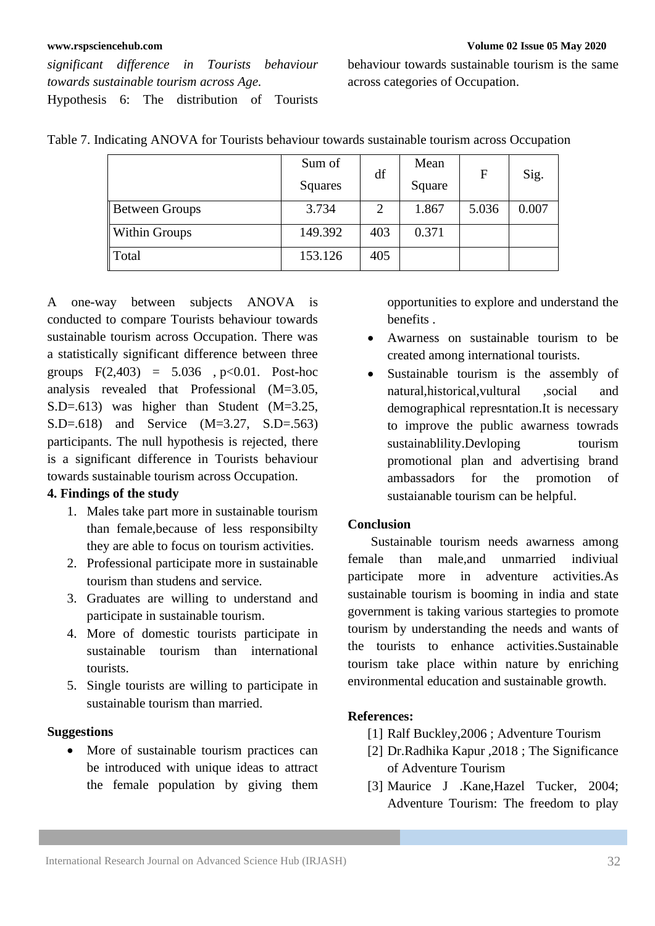*significant difference in Tourists behaviour towards sustainable tourism across Age.* Hypothesis 6: The distribution of Tourists behaviour towards sustainable tourism is the same across categories of Occupation.

|                       | Sum of<br>Squares | df  | Mean<br>Square | F     | Sig.  |
|-----------------------|-------------------|-----|----------------|-------|-------|
| <b>Between Groups</b> | 3.734             | 2   | 1.867          | 5.036 | 0.007 |
| <b>Within Groups</b>  | 149.392           | 403 | 0.371          |       |       |
| Total                 | 153.126           | 405 |                |       |       |

Table 7. Indicating ANOVA for Tourists behaviour towards sustainable tourism across Occupation

A one-way between subjects ANOVA is conducted to compare Tourists behaviour towards sustainable tourism across Occupation. There was a statistically significant difference between three groups  $F(2,403) = 5.036$ ,  $p < 0.01$ . Post-hoc analysis revealed that Professional (M=3.05, S.D=.613) was higher than Student (M=3.25, S.D=.618) and Service (M=3.27, S.D=.563) participants. The null hypothesis is rejected, there is a significant difference in Tourists behaviour towards sustainable tourism across Occupation.

## **4. Findings of the study**

- 1. Males take part more in sustainable tourism than female,because of less responsibilty they are able to focus on tourism activities.
- 2. Professional participate more in sustainable tourism than studens and service.
- 3. Graduates are willing to understand and participate in sustainable tourism.
- 4. More of domestic tourists participate in sustainable tourism than international tourists.
- 5. Single tourists are willing to participate in sustainable tourism than married.

### **Suggestions**

• More of sustainable tourism practices can be introduced with unique ideas to attract the female population by giving them

opportunities to explore and understand the benefits .

- Awarness on sustainable tourism to be created among international tourists.
- Sustainable tourism is the assembly of natural,historical,vultural ,social and demographical represntation.It is necessary to improve the public awarness towrads sustainablility.Devloping tourism promotional plan and advertising brand ambassadors for the promotion of sustaianable tourism can be helpful.

## **Conclusion**

 Sustainable tourism needs awarness among female than male,and unmarried indiviual participate more in adventure activities.As sustainable tourism is booming in india and state government is taking various startegies to promote tourism by understanding the needs and wants of the tourists to enhance activities.Sustainable tourism take place within nature by enriching environmental education and sustainable growth.

## **References:**

- [1] Ralf Buckley,2006 ; Adventure Tourism
- [2] Dr.Radhika Kapur ,2018 ; The Significance of Adventure Tourism
- [3] Maurice J .Kane,Hazel Tucker, 2004; Adventure Tourism: The freedom to play